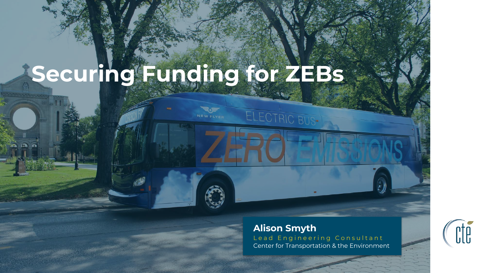# **Securing Funding for ZEBs**

 $\sum_{i=1}^{n}$ 

 $\mathbb{Z} \mathbb{Z}$ 

#### **Alison Smyth** Lead Engineering Consultant Center for Transportation & the Environment

ELECTRIC BUS-

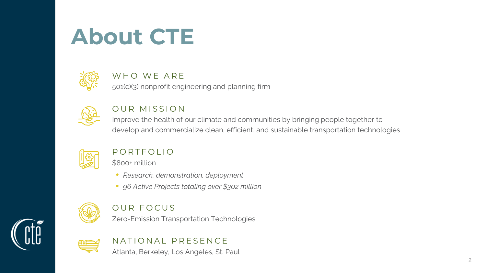### **About CTE**



#### WHO WE ARE

501(c)(3) nonprofit engineering and planning firm



#### OUR MISSION

Improve the health of our climate and communities by bringing people together to develop and commercialize clean, efficient, and sustainable transportation technologies



#### PORTFOLIO

\$800+ million

- *Research, demonstration, deployment*
- *96 Active Projects totaling over \$302 million*



#### OUR FOCUS

Zero-Emission Transportation Technologies



NATIONAL PRESENCE

Atlanta, Berkeley, Los Angeles, St. Paul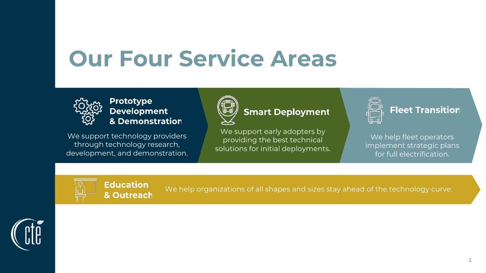### **Our Four Service Areas**



#### **Prototype Development** & Demonstration

We support technology providers through technology research, development, and demonstration.



#### **Smart Deployment**

We support early adopters by providing the best technical solutions for initial deployments.



We help fleet operators implement strategic plans for full electrification.



**Education** & Outreach

We help organizations of all shapes and sizes stay ahead of the technology curve.

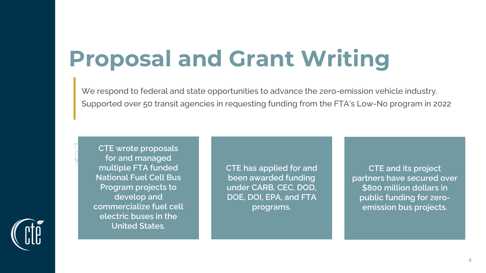### **Proposal and Grant Writing**

We respond to federal and state opportunities to advance the zero-emission vehicle industry. Supported over 50 transit agencies in requesting funding from the FTA's Low-No program in 2022

**CTE wrote proposals for and managed multiple FTA funded National Fuel Cell Bus Program projects to develop and commercialize fuel cell electric buses in the United States.**

**CTE has applied for and been awarded funding under CARB, CEC, DOD, DOE, DOI, EPA, and FTA programs.**

**CTE and its project partners have secured over \$800 million dollars in public funding for zeroemission bus projects.**

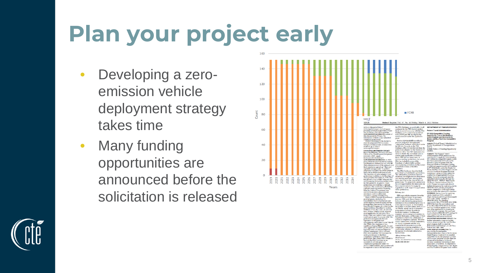### **Plan your project early**

- Developing a zeroemission vehicle deployment strategy takes time
- Many funding opportunities are announced before the solicitation is released



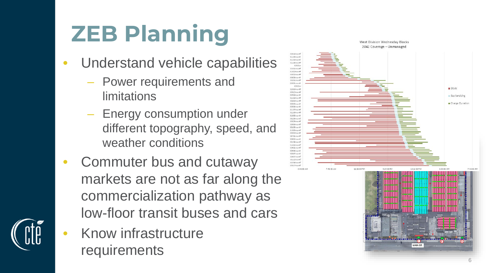### **ZEB Planning**

- Understand vehicle capabilities
	- Power requirements and **limitations**
	- Energy consumption under different topography, speed, and weather conditions
- Commuter bus and cutaway markets are not as far along the commercialization pathway as low -floor transit buses and cars
- Know infrastructure requirements





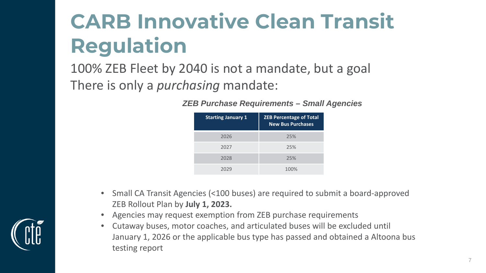### **CARB Innovative Clean Transit Regulation**

100% ZEB Fleet by 2040 is not a mandate, but a goal There is only a *purchasing* mandate:

| <b>Starting January 1</b> | <b>ZEB Percentage of Total</b><br><b>New Bus Purchases</b> |
|---------------------------|------------------------------------------------------------|
| 2026                      | 25%                                                        |
| 2027                      | 25%                                                        |
| 2028                      | 25%                                                        |
| 2029                      | 100%                                                       |

*ZEB Purchase Requirements – Small Agencies*

- Small CA Transit Agencies (<100 buses) are required to submit a board-approved ZEB Rollout Plan by **July 1, 2023.**
- Agencies may request exemption from ZEB purchase requirements
- Cutaway buses, motor coaches, and articulated buses will be excluded until January 1, 2026 or the applicable bus type has passed and obtained a Altoona bus testing report

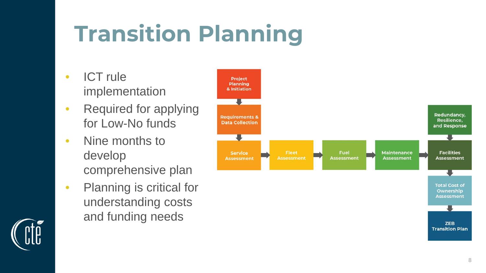### **Transition Planning**

- ICT rule implementation
- Required for applying for Low-No funds
- Nine months to develop comprehensive plan
- Planning is critical for understanding costs and funding needs





**ZEB Transition Plan**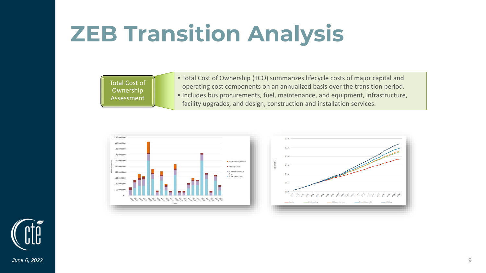### **ZEB Transition Analysis**

Total Cost of Ownership Assessment

• Total Cost of Ownership (TCO) summarizes lifecycle costs of major capital and operating cost components on an annualized basis over the transition period. • Includes bus procurements, fuel, maintenance, and equipment, infrastructure, facility upgrades, and design, construction and installation services.



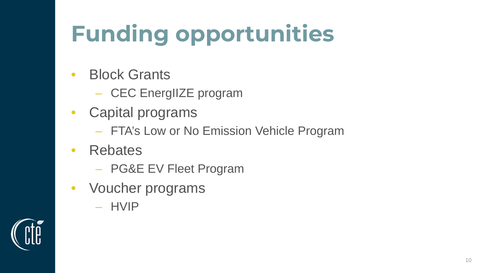## **Funding opportunities**

- Block Grants
	- CEC EnergIIZE program
- Capital programs
	- FTA's Low or No Emission Vehicle Program
- Rebates
	- PG&E EV Fleet Program
- Voucher programs
	- HVIP